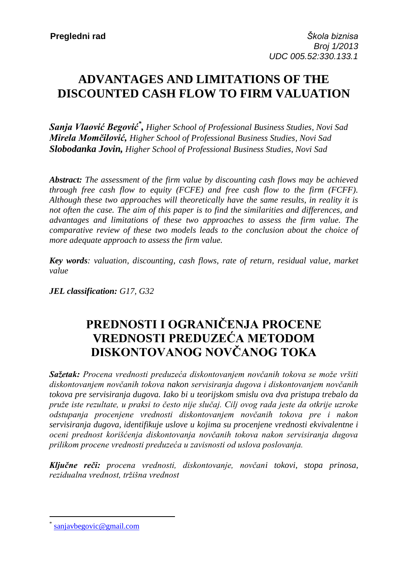## **ADVANTAGES AND LIMITATIONS OF THE DISCOUNTED CASH FLOW TO FIRM VALUATION**

*Sanja Vlaović Begović\* , Higher School of Professional Business Studies, Novi Sad Mirela Momčilović, Higher School of Professional Business Studies, Novi Sad Slobodanka Jovin, Higher School of Professional Business Studies, Novi Sad*

*Abstract: The assessment of the firm value by discounting cash flows may be achieved through free cash flow to equity (FCFE) and free cash flow to the firm (FCFF). Although these two approaches will theoretically have the same results, in reality it is not often the case. The aim of this paper is to find the similarities and differences, and advantages and limitations of these two approaches to assess the firm value. The comparative review of these two models leads to the conclusion about the choice of more adequate approach to assess the firm value.*

*Key words: valuation, discounting, cash flows, rate of return, residual value, market value*

*JEL classification: G17, G32*

# **PREDNOSTI I OGRANIČENJA PROCENE VREDNOSTI PREDUZEĆA METODOM DISKONTOVANOG NOVČANOG TOKA**

*Sažetak: Procena vrednosti preduzeća diskontovanjem novčanih tokova se može vršiti diskontovanjem novčanih tokova nakon servisiranja dugova i diskontovanjem novčanih tokova pre servisiranja dugova. Iako bi u teorijskom smislu ova dva pristupa trebalo da pruže iste rezultate, u praksi to često nije slučaj. Cilj ovog rada jeste da otkrije uzroke odstupanja procenjene vrednosti diskontovanjem novčanih tokova pre i nakon servisiranja dugova, identifikuje uslove u kojima su procenjene vrednosti ekvivalentne i oceni prednost korišćenja diskontovanja novčanih tokova nakon servisiranja dugova prilikom procene vrednosti preduzeća u zavisnosti od uslova poslovanja.* 

*Ključne reči: procena vrednosti, diskontovanje, novčani tokovi, stopa prinosa, rezidualna vrednost, tržišna vrednost*

 $\overline{a}$ 

<sup>\*</sup> [sanjavbegovic@gmail.com](mailto:sanjavbegovic@gmail.com)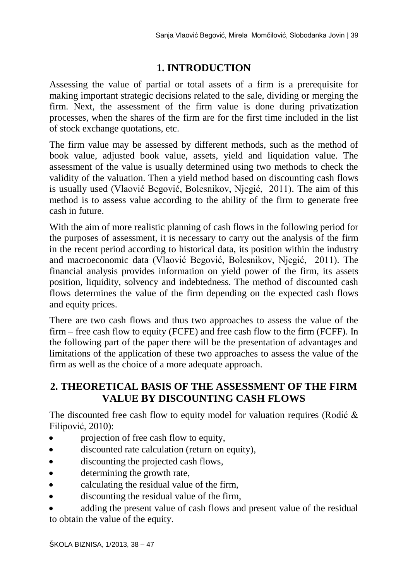## **1. INTRODUCTION**

Assessing the value of partial or total assets of a firm is a prerequisite for making important strategic decisions related to the sale, dividing or merging the firm. Next, the assessment of the firm value is done during privatization processes, when the shares of the firm are for the first time included in the list of stock exchange quotations, etc.

The firm value may be assessed by different methods, such as the method of book value, adjusted book value, assets, yield and liquidation value. The assessment of the value is usually determined using two methods to check the validity of the valuation. Then a yield method based on discounting cash flows is usually used (Vlaović Begović, Bolesnikov, Njegić, 2011). The aim of this method is to assess value according to the ability of the firm to generate free cash in future.

With the aim of more realistic planning of cash flows in the following period for the purposes of assessment, it is necessary to carry out the analysis of the firm in the recent period according to historical data, its position within the industry and macroeconomic data (Vlaović Begović, Bolesnikov, Njegić, 2011). The financial analysis provides information on yield power of the firm, its assets position, liquidity, solvency and indebtedness. The method of discounted cash flows determines the value of the firm depending on the expected cash flows and equity prices.

There are two cash flows and thus two approaches to assess the value of the firm – free cash flow to equity (FCFE) and free cash flow to the firm (FCFF). In the following part of the paper there will be the presentation of advantages and limitations of the application of these two approaches to assess the value of the firm as well as the choice of a more adequate approach.

### **2. THEORETICAL BASIS OF THE ASSESSMENT OF THE FIRM VALUE BY DISCOUNTING CASH FLOWS**

The discounted free cash flow to equity model for valuation requires (Rodić & Filipović, 2010):

- projection of free cash flow to equity,
- discounted rate calculation (return on equity),
- discounting the projected cash flows,
- determining the growth rate,
- calculating the residual value of the firm,
- discounting the residual value of the firm,
- adding the present value of cash flows and present value of the residual to obtain the value of the equity.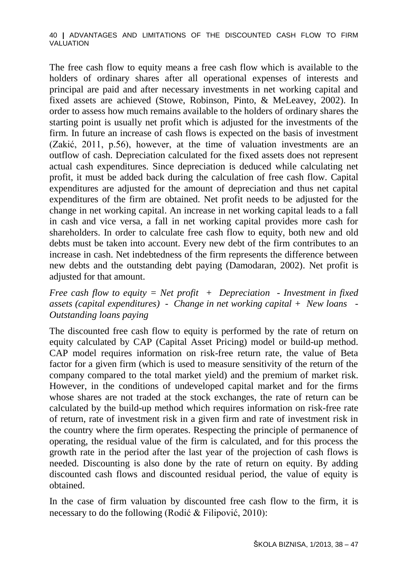The free cash flow to equity means a free cash flow which is available to the holders of ordinary shares after all operational expenses of interests and principal are paid and after necessary investments in net working capital and fixed assets are achieved (Stowe, Robinson, Pinto, & MeLeavey, 2002). In order to assess how much remains available to the holders of ordinary shares the starting point is usually net profit which is adjusted for the investments of the firm. In future an increase of cash flows is expected on the basis of investment (Zakić, 2011, p.56), however, at the time of valuation investments are an outflow of cash. Depreciation calculated for the fixed assets does not represent actual cash expenditures. Since depreciation is deduced while calculating net profit, it must be added back during the calculation of free cash flow. Capital expenditures are adjusted for the amount of depreciation and thus net capital expenditures of the firm are obtained. Net profit needs to be adjusted for the change in net working capital. An increase in net working capital leads to a fall in cash and vice versa, a fall in net working capital provides more cash for shareholders. In order to calculate free cash flow to equity, both new and old debts must be taken into account. Every new debt of the firm contributes to an increase in cash. Net indebtedness of the firm represents the difference between new debts and the outstanding debt paying (Damodaran, 2002). Net profit is adjusted for that amount.

*Free cash flow to equity = Net profit + Depreciation - Investment in fixed assets (capital expenditures) - Change in net working capital + New loans - Outstanding loans paying*

The discounted free cash flow to equity is performed by the rate of return on equity calculated by CAP (Capital Asset Pricing) model or build-up method. CAP model requires information on risk-free return rate, the value of Beta factor for a given firm (which is used to measure sensitivity of the return of the company compared to the total market yield) and the premium of market risk. However, in the conditions of undeveloped capital market and for the firms whose shares are not traded at the stock exchanges, the rate of return can be calculated by the build-up method which requires information on risk-free rate of return, rate of investment risk in a given firm and rate of investment risk in the country where the firm operates. Respecting the principle of permanence of operating, the residual value of the firm is calculated, and for this process the growth rate in the period after the last year of the projection of cash flows is needed. Discounting is also done by the rate of return on equity. By adding discounted cash flows and discounted residual period, the value of equity is obtained.

In the case of firm valuation by discounted free cash flow to the firm, it is necessary to do the following (Rodić & Filipović, 2010):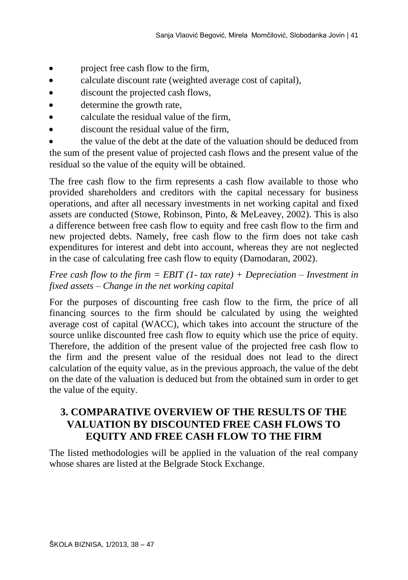- project free cash flow to the firm,
- calculate discount rate (weighted average cost of capital),
- discount the projected cash flows,
- determine the growth rate,
- calculate the residual value of the firm,
- discount the residual value of the firm,

 the value of the debt at the date of the valuation should be deduced from the sum of the present value of projected cash flows and the present value of the residual so the value of the equity will be obtained.

The free cash flow to the firm represents a cash flow available to those who provided shareholders and creditors with the capital necessary for business operations, and after all necessary investments in net working capital and fixed assets are conducted (Stowe, Robinson, Pinto, & MeLeavey, 2002). This is also a difference between free cash flow to equity and free cash flow to the firm and new projected debts. Namely, free cash flow to the firm does not take cash expenditures for interest and debt into account, whereas they are not neglected in the case of calculating free cash flow to equity (Damodaran, 2002).

### *Free cash flow to the firm = EBIT (1- tax rate) + Depreciation – Investment in fixed assets – Change in the net working capital*

For the purposes of discounting free cash flow to the firm, the price of all financing sources to the firm should be calculated by using the weighted average cost of capital (WACC), which takes into account the structure of the source unlike discounted free cash flow to equity which use the price of equity. Therefore, the addition of the present value of the projected free cash flow to the firm and the present value of the residual does not lead to the direct calculation of the equity value, as in the previous approach, the value of the debt on the date of the valuation is deduced but from the obtained sum in order to get the value of the equity.

## **3. COMPARATIVE OVERVIEW OF THE RESULTS OF THE VALUATION BY DISCOUNTED FREE CASH FLOWS TO EQUITY AND FREE CASH FLOW TO THE FIRM**

The listed methodologies will be applied in the valuation of the real company whose shares are listed at the Belgrade Stock Exchange.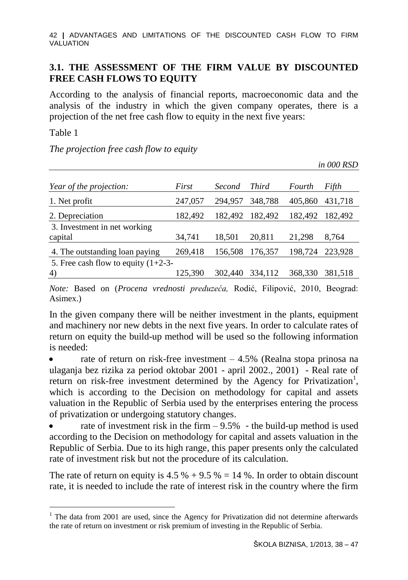42 **|** ADVANTAGES AND LIMITATIONS OF THE DISCOUNTED CASH FLOW TO FIRM VALUATION

#### **3.1. THE ASSESSMENT OF THE FIRM VALUE BY DISCOUNTED FREE CASH FLOWS TO EQUITY**

According to the analysis of financial reports, macroeconomic data and the analysis of the industry in which the given company operates, there is a projection of the net free cash flow to equity in the next five years:

Table 1

 $\overline{a}$ 

*The projection free cash flow to equity*

|                                             |         |         |              |         | in 000 RSD |
|---------------------------------------------|---------|---------|--------------|---------|------------|
| Year of the projection:                     | First   | Second  | <b>Third</b> | Fourth  | Fifth      |
| 1. Net profit                               | 247,057 | 294,957 | 348,788      | 405,860 | 431,718    |
| 2. Depreciation                             | 182,492 | 182,492 | 182,492      | 182,492 | 182,492    |
| 3. Investment in net working<br>capital     | 34,741  | 18,501  | 20.811       | 21,298  | 8,764      |
| 4. The outstanding loan paying              | 269,418 | 156,508 | 176,357      | 198,724 | 223,928    |
| 5. Free cash flow to equity $(1+2-3-$<br>4) | 125,390 | 302,440 | 334,112      | 368,330 | 381,518    |
|                                             |         |         |              |         |            |

*Note:* Based on (*Procena vrednosti preduzeća,* Rodić, Filipović, 2010, Beograd: Asimex.)

In the given company there will be neither investment in the plants, equipment and machinery nor new debts in the next five years. In order to calculate rates of return on equity the build-up method will be used so the following information is needed:

 rate of return on risk-free investment – 4.5% (Realna stopa prinosa na ulaganja bez rizika za period oktobar 2001 - april 2002., 2001) - Real rate of return on risk-free investment determined by the Agency for Privatization<sup>1</sup>, which is according to the Decision on methodology for capital and assets valuation in the Republic of Serbia used by the enterprises entering the process of privatization or undergoing statutory changes.

rate of investment risk in the firm  $-9.5%$  - the build-up method is used according to the Decision on methodology for capital and assets valuation in the Republic of Serbia. Due to its high range, this paper presents only the calculated rate of investment risk but not the procedure of its calculation.

The rate of return on equity is  $4.5\% + 9.5\% = 14\%$ . In order to obtain discount rate, it is needed to include the rate of interest risk in the country where the firm

<sup>&</sup>lt;sup>1</sup> The data from 2001 are used, since the Agency for Privatization did not determine afterwards the rate of return on investment or risk premium of investing in the Republic of Serbia.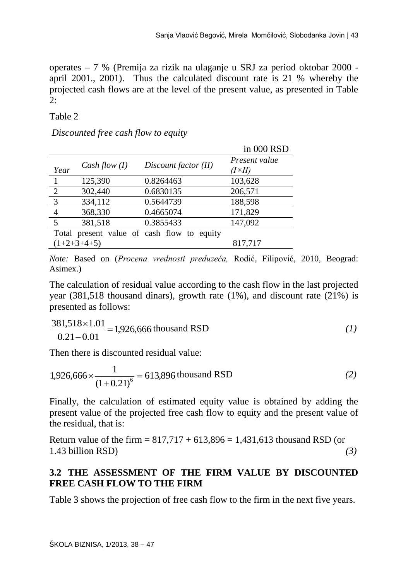operates – 7 % (Premija za rizik na ulaganje u SRJ za period oktobar 2000 april 2001., 2001). Thus the calculated discount rate is 21 % whereby the projected cash flows are at the level of the present value, as presented in Table 2:

#### Table 2

#### *Discounted free cash flow to equity*

|                         |                 |                                            | in 000 RSD                       |
|-------------------------|-----------------|--------------------------------------------|----------------------------------|
| Year                    | Cash flow $(I)$ | Discount factor (II)                       | Present value<br>$(I \times II)$ |
|                         | 125,390         | 0.8264463                                  | 103,628                          |
| $\frac{2}{\sqrt{2}}$    | 302,440         | 0.6830135                                  | 206,571                          |
| $\overline{\mathbf{3}}$ | 334,112         | 0.5644739                                  | 188,598                          |
| $\overline{4}$          | 368,330         | 0.4665074                                  | 171,829                          |
| 5                       | 381,518         | 0.3855433                                  | 147,092                          |
|                         |                 | Total present value of cash flow to equity |                                  |
|                         | $(1+2+3+4+5)$   |                                            | 817,717                          |

*Note:* Based on (*Procena vrednosti preduzeća,* Rodić, Filipović, 2010, Beograd: Asimex.)

The calculation of residual value according to the cash flow in the last projected year  $(381,518)$  thousand dinars), growth rate  $(1\%)$ , and discount rate  $(21\%)$  is presented as follows:

$$
\frac{381,518 \times 1.01}{0.21 - 0.01} = 1,926,666
$$
 thousand RSD (1)

Then there is discounted residual value:

$$
1,926,666 \times \frac{1}{(1+0.21)^6} = 613,896 \text{ thousand RSD}
$$
 (2)

Finally, the calculation of estimated equity value is obtained by adding the present value of the projected free cash flow to equity and the present value of the residual, that is:

Return value of the firm =  $817,717 + 613,896 = 1,431,613$  thousand RSD (or 1.43 billion RSD) *(3)* 

### **3.2 THE ASSESSMENT OF THE FIRM VALUE BY DISCOUNTED FREE CASH FLOW TO THE FIRM**

Table 3 shows the projection of free cash flow to the firm in the next five years.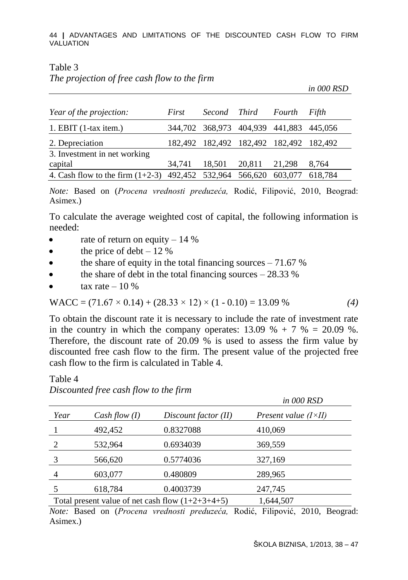44 **|** ADVANTAGES AND LIMITATIONS OF THE DISCOUNTED CASH FLOW TO FIRM VALUATION

#### Table 3

*The projection of free cash flow to the firm* 

 *in 000 RSD*

| Year of the projection:                                            | First  | Second Third |               | Fourth                                  | Fifth   |
|--------------------------------------------------------------------|--------|--------------|---------------|-----------------------------------------|---------|
| 1. EBIT $(1$ -tax item.)                                           |        |              |               | 344,702 368,973 404,939 441,883 445,056 |         |
| 2. Depreciation                                                    |        |              |               | 182,492 182,492 182,492 182,492 182,492 |         |
| 3. Investment in net working                                       |        |              |               |                                         |         |
| capital                                                            | 34.741 | 18,501       | 20.811 21.298 |                                         | 8.764   |
| 4. Cash flow to the firm $(1+2-3)$ 492,452 532,964 566,620 603,077 |        |              |               |                                         | 618.784 |

*Note:* Based on (*Procena vrednosti preduzeća,* Rodić, Filipović, 2010, Beograd: Asimex.)

To calculate the average weighted cost of capital, the following information is needed:

- rate of return on equity  $-14\%$
- $\bullet$  the price of debt 12 %
- $\bullet$  the share of equity in the total financing sources 71.67 %
- $\bullet$  the share of debt in the total financing sources 28.33 %
- tax rate  $-10\%$

Table 4

WACC = 
$$
(71.67 \times 0.14) + (28.33 \times 12) \times (1 - 0.10) = 13.09 \%
$$
 (4)

To obtain the discount rate it is necessary to include the rate of investment rate in the country in which the company operates:  $13.09 \% + 7 \% = 20.09 \%$ . Therefore, the discount rate of  $20.09\%$  is used to assess the firm value by discounted free cash flow to the firm. The present value of the projected free cash flow to the firm is calculated in Table 4.

|      |                 |                                                    | in 000 RSD                    |
|------|-----------------|----------------------------------------------------|-------------------------------|
| Year | Cash flow $(I)$ | Discount factor (II)                               | Present value $(I \times II)$ |
|      | 492,452         | 0.8327088                                          | 410,069                       |
|      | 532,964         | 0.6934039                                          | 369,559                       |
|      | 566,620         | 0.5774036                                          | 327,169                       |
|      | 603,077         | 0.480809                                           | 289,965                       |
|      | 618,784         | 0.4003739                                          | 247,745                       |
|      |                 | Total present value of net cash flow $(1+2+3+4+5)$ | 1,644,507                     |

*Discounted free cash flow to the firm*

*Note:* Based on (*Procena vrednosti preduzeća,* Rodić, Filipović, 2010, Beograd: Asimex.)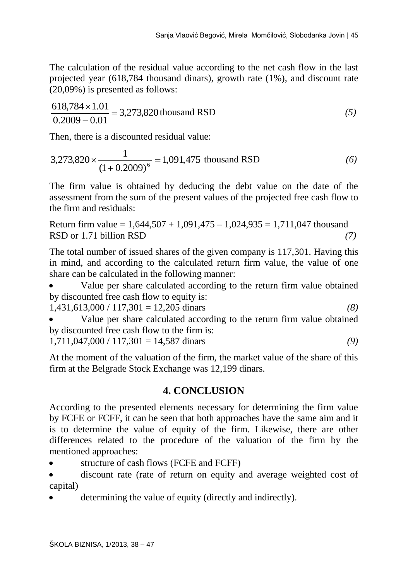The calculation of the residual value according to the net cash flow in the last projected year (618,784 thousand dinars), growth rate (1%), and discount rate (20,09%) is presented as follows:

$$
\frac{618,784 \times 1.01}{0.2009 - 0.01} = 3,273,820
$$
 thousand RSD (5)

Then, there is a discounted residual value:

$$
3,273,820 \times \frac{1}{(1+0.2009)^6} = 1,091,475 \text{ thousand RSD} \tag{6}
$$

The firm value is obtained by deducing the debt value on the date of the assessment from the sum of the present values of the projected free cash flow to the firm and residuals:

Return firm value =  $1,644,507 + 1,091,475 - 1,024,935 = 1,711,047$  thousand RSD or 1.71 billion RSD **(7) (7) (8) (8) (8) (8) (8) (8) (8) (8) (8) (8) (8) (8) (8) (8) (8) (8) (8) (8) (8) (8) (8) (8) (8) (8) (8) (8) (8) (8) (8) (8) (8)**

The total number of issued shares of the given company is 117,301. Having this in mind, and according to the calculated return firm value, the value of one share can be calculated in the following manner:

 Value per share calculated according to the return firm value obtained by discounted free cash flow to equity is:

1,431,613,000 / 117,301 = 12,205 dinars *(8)* 

 Value per share calculated according to the return firm value obtained by discounted free cash flow to the firm is:

$$
1,711,047,000 / 117,301 = 14,587 \text{ dinars}
$$
 (9)

At the moment of the valuation of the firm, the market value of the share of this firm at the Belgrade Stock Exchange was 12,199 dinars.

### **4. CONCLUSION**

According to the presented elements necessary for determining the firm value by FCFE or FCFF, it can be seen that both approaches have the same aim and it is to determine the value of equity of the firm. Likewise, there are other differences related to the procedure of the valuation of the firm by the mentioned approaches:

structure of cash flows (FCFE and FCFF)

 discount rate (rate of return on equity and average weighted cost of capital)

determining the value of equity (directly and indirectly).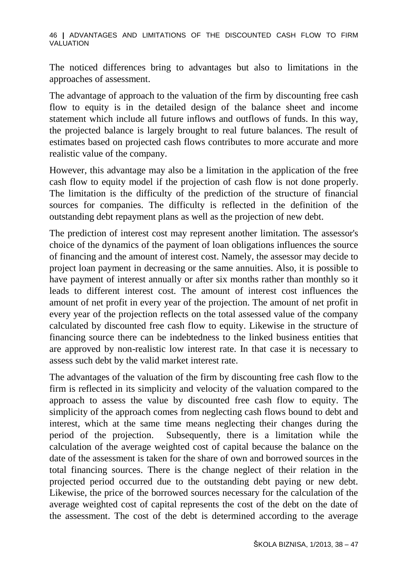46 **|** ADVANTAGES AND LIMITATIONS OF THE DISCOUNTED CASH FLOW TO FIRM VALUATION

The noticed differences bring to advantages but also to limitations in the approaches of assessment.

The advantage of approach to the valuation of the firm by discounting free cash flow to equity is in the detailed design of the balance sheet and income statement which include all future inflows and outflows of funds. In this way, the projected balance is largely brought to real future balances. The result of estimates based on projected cash flows contributes to more accurate and more realistic value of the company.

However, this advantage may also be a limitation in the application of the free cash flow to equity model if the projection of cash flow is not done properly. The limitation is the difficulty of the prediction of the structure of financial sources for companies. The difficulty is reflected in the definition of the outstanding debt repayment plans as well as the projection of new debt.

The prediction of interest cost may represent another limitation. The assessor's choice of the dynamics of the payment of loan obligations influences the source of financing and the amount of interest cost. Namely, the assessor may decide to project loan payment in decreasing or the same annuities. Also, it is possible to have payment of interest annually or after six months rather than monthly so it leads to different interest cost. The amount of interest cost influences the amount of net profit in every year of the projection. The amount of net profit in every year of the projection reflects on the total assessed value of the company calculated by discounted free cash flow to equity. Likewise in the structure of financing source there can be indebtedness to the linked business entities that are approved by non-realistic low interest rate. In that case it is necessary to assess such debt by the valid market interest rate.

The advantages of the valuation of the firm by discounting free cash flow to the firm is reflected in its simplicity and velocity of the valuation compared to the approach to assess the value by discounted free cash flow to equity. The simplicity of the approach comes from neglecting cash flows bound to debt and interest, which at the same time means neglecting their changes during the period of the projection. Subsequently, there is a limitation while the calculation of the average weighted cost of capital because the balance on the date of the assessment is taken for the share of own and borrowed sources in the total financing sources. There is the change neglect of their relation in the projected period occurred due to the outstanding debt paying or new debt. Likewise, the price of the borrowed sources necessary for the calculation of the average weighted cost of capital represents the cost of the debt on the date of the assessment. The cost of the debt is determined according to the average